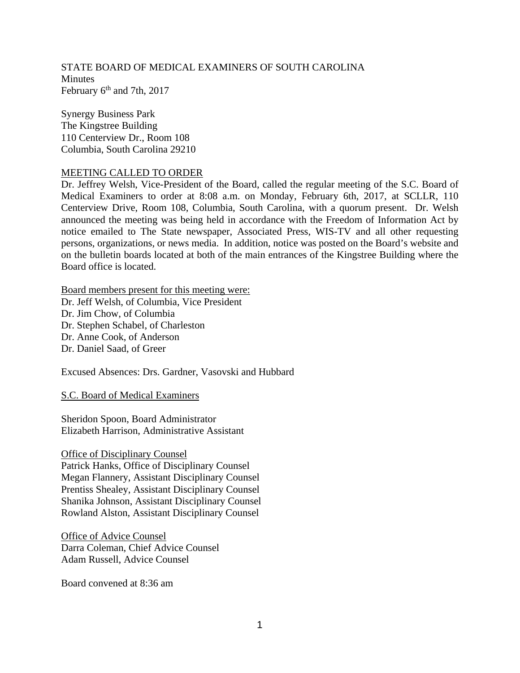STATE BOARD OF MEDICAL EXAMINERS OF SOUTH CAROLINA **Minutes** February  $6<sup>th</sup>$  and 7th, 2017

Synergy Business Park The Kingstree Building 110 Centerview Dr., Room 108 Columbia, South Carolina 29210

### MEETING CALLED TO ORDER

Dr. Jeffrey Welsh, Vice-President of the Board, called the regular meeting of the S.C. Board of Medical Examiners to order at 8:08 a.m. on Monday, February 6th, 2017, at SCLLR, 110 Centerview Drive, Room 108, Columbia, South Carolina, with a quorum present. Dr. Welsh announced the meeting was being held in accordance with the Freedom of Information Act by notice emailed to The State newspaper, Associated Press, WIS-TV and all other requesting persons, organizations, or news media. In addition, notice was posted on the Board's website and on the bulletin boards located at both of the main entrances of the Kingstree Building where the Board office is located.

Board members present for this meeting were:

Dr. Jeff Welsh, of Columbia, Vice President Dr. Jim Chow, of Columbia Dr. Stephen Schabel, of Charleston Dr. Anne Cook, of Anderson Dr. Daniel Saad, of Greer

Excused Absences: Drs. Gardner, Vasovski and Hubbard

S.C. Board of Medical Examiners

Sheridon Spoon, Board Administrator Elizabeth Harrison, Administrative Assistant

Office of Disciplinary Counsel Patrick Hanks, Office of Disciplinary Counsel Megan Flannery, Assistant Disciplinary Counsel Prentiss Shealey, Assistant Disciplinary Counsel Shanika Johnson, Assistant Disciplinary Counsel Rowland Alston, Assistant Disciplinary Counsel

Office of Advice Counsel Darra Coleman, Chief Advice Counsel Adam Russell, Advice Counsel

Board convened at 8:36 am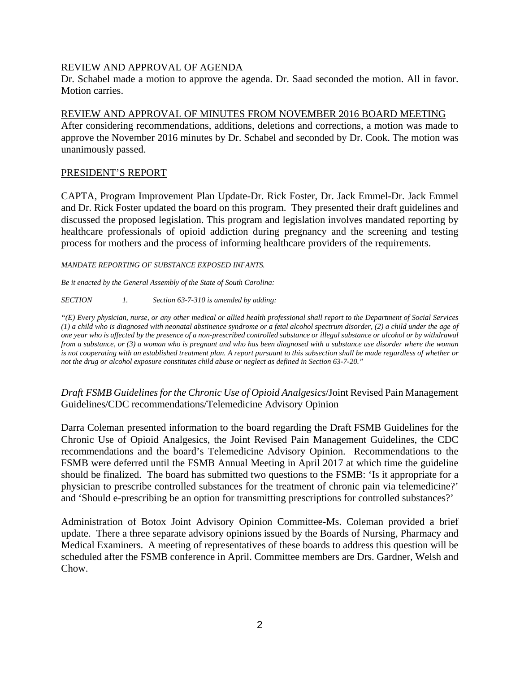# REVIEW AND APPROVAL OF AGENDA

Dr. Schabel made a motion to approve the agenda. Dr. Saad seconded the motion. All in favor. Motion carries.

# REVIEW AND APPROVAL OF MINUTES FROM NOVEMBER 2016 BOARD MEETING

After considering recommendations, additions, deletions and corrections, a motion was made to approve the November 2016 minutes by Dr. Schabel and seconded by Dr. Cook. The motion was unanimously passed.

# PRESIDENT'S REPORT

CAPTA, Program Improvement Plan Update-Dr. Rick Foster, Dr. Jack Emmel-Dr. Jack Emmel and Dr. Rick Foster updated the board on this program. They presented their draft guidelines and discussed the proposed legislation. This program and legislation involves mandated reporting by healthcare professionals of opioid addiction during pregnancy and the screening and testing process for mothers and the process of informing healthcare providers of the requirements.

*MANDATE REPORTING OF SUBSTANCE EXPOSED INFANTS.* 

*Be it enacted by the General Assembly of the State of South Carolina:* 

*SECTION 1. Section 63-7-310 is amended by adding:* 

*"(E) Every physician, nurse, or any other medical or allied health professional shall report to the Department of Social Services (1) a child who is diagnosed with neonatal abstinence syndrome or a fetal alcohol spectrum disorder, (2) a child under the age of one year who is affected by the presence of a non-prescribed controlled substance or illegal substance or alcohol or by withdrawal from a substance, or (3) a woman who is pregnant and who has been diagnosed with a substance use disorder where the woman is not cooperating with an established treatment plan. A report pursuant to this subsection shall be made regardless of whether or not the drug or alcohol exposure constitutes child abuse or neglect as defined in Section 63-7-20."* 

*Draft FSMB Guidelines for the Chronic Use of Opioid Analgesics*/Joint Revised Pain Management Guidelines/CDC recommendations/Telemedicine Advisory Opinion

Darra Coleman presented information to the board regarding the Draft FSMB Guidelines for the Chronic Use of Opioid Analgesics, the Joint Revised Pain Management Guidelines, the CDC recommendations and the board's Telemedicine Advisory Opinion. Recommendations to the FSMB were deferred until the FSMB Annual Meeting in April 2017 at which time the guideline should be finalized. The board has submitted two questions to the FSMB: 'Is it appropriate for a physician to prescribe controlled substances for the treatment of chronic pain via telemedicine?' and 'Should e-prescribing be an option for transmitting prescriptions for controlled substances?'

Administration of Botox Joint Advisory Opinion Committee-Ms. Coleman provided a brief update. There a three separate advisory opinions issued by the Boards of Nursing, Pharmacy and Medical Examiners. A meeting of representatives of these boards to address this question will be scheduled after the FSMB conference in April. Committee members are Drs. Gardner, Welsh and Chow.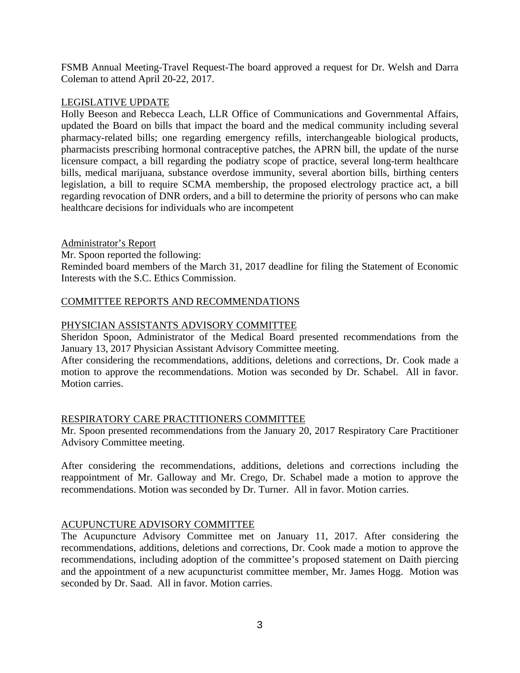FSMB Annual Meeting-Travel Request-The board approved a request for Dr. Welsh and Darra Coleman to attend April 20-22, 2017.

# LEGISLATIVE UPDATE

Holly Beeson and Rebecca Leach, LLR Office of Communications and Governmental Affairs, updated the Board on bills that impact the board and the medical community including several pharmacy-related bills; one regarding emergency refills, interchangeable biological products, pharmacists prescribing hormonal contraceptive patches, the APRN bill, the update of the nurse licensure compact, a bill regarding the podiatry scope of practice, several long-term healthcare bills, medical marijuana, substance overdose immunity, several abortion bills, birthing centers legislation, a bill to require SCMA membership, the proposed electrology practice act, a bill regarding revocation of DNR orders, and a bill to determine the priority of persons who can make healthcare decisions for individuals who are incompetent

# Administrator's Report

Mr. Spoon reported the following:

Reminded board members of the March 31, 2017 deadline for filing the Statement of Economic Interests with the S.C. Ethics Commission.

# COMMITTEE REPORTS AND RECOMMENDATIONS

# PHYSICIAN ASSISTANTS ADVISORY COMMITTEE

Sheridon Spoon, Administrator of the Medical Board presented recommendations from the January 13, 2017 Physician Assistant Advisory Committee meeting.

After considering the recommendations, additions, deletions and corrections, Dr. Cook made a motion to approve the recommendations. Motion was seconded by Dr. Schabel. All in favor. Motion carries.

# RESPIRATORY CARE PRACTITIONERS COMMITTEE

Mr. Spoon presented recommendations from the January 20, 2017 Respiratory Care Practitioner Advisory Committee meeting.

After considering the recommendations, additions, deletions and corrections including the reappointment of Mr. Galloway and Mr. Crego, Dr. Schabel made a motion to approve the recommendations. Motion was seconded by Dr. Turner. All in favor. Motion carries.

# ACUPUNCTURE ADVISORY COMMITTEE

The Acupuncture Advisory Committee met on January 11, 2017. After considering the recommendations, additions, deletions and corrections, Dr. Cook made a motion to approve the recommendations, including adoption of the committee's proposed statement on Daith piercing and the appointment of a new acupuncturist committee member, Mr. James Hogg. Motion was seconded by Dr. Saad. All in favor. Motion carries.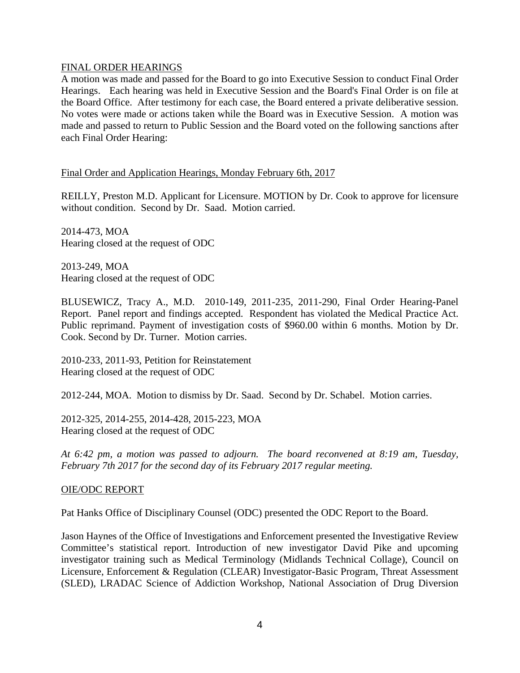### FINAL ORDER HEARINGS

A motion was made and passed for the Board to go into Executive Session to conduct Final Order Hearings. Each hearing was held in Executive Session and the Board's Final Order is on file at the Board Office. After testimony for each case, the Board entered a private deliberative session. No votes were made or actions taken while the Board was in Executive Session. A motion was made and passed to return to Public Session and the Board voted on the following sanctions after each Final Order Hearing:

## Final Order and Application Hearings, Monday February 6th, 2017

REILLY, Preston M.D. Applicant for Licensure. MOTION by Dr. Cook to approve for licensure without condition. Second by Dr. Saad. Motion carried.

2014-473, MOA Hearing closed at the request of ODC

2013-249, MOA Hearing closed at the request of ODC

BLUSEWICZ, Tracy A., M.D. 2010-149, 2011-235, 2011-290, Final Order Hearing-Panel Report. Panel report and findings accepted. Respondent has violated the Medical Practice Act. Public reprimand. Payment of investigation costs of \$960.00 within 6 months. Motion by Dr. Cook. Second by Dr. Turner. Motion carries.

2010-233, 2011-93, Petition for Reinstatement Hearing closed at the request of ODC

2012-244, MOA. Motion to dismiss by Dr. Saad. Second by Dr. Schabel. Motion carries.

2012-325, 2014-255, 2014-428, 2015-223, MOA Hearing closed at the request of ODC

*At 6:42 pm, a motion was passed to adjourn. The board reconvened at 8:19 am, Tuesday, February 7th 2017 for the second day of its February 2017 regular meeting.*

# OIE/ODC REPORT

Pat Hanks Office of Disciplinary Counsel (ODC) presented the ODC Report to the Board.

Jason Haynes of the Office of Investigations and Enforcement presented the Investigative Review Committee's statistical report. Introduction of new investigator David Pike and upcoming investigator training such as Medical Terminology (Midlands Technical Collage), Council on Licensure, Enforcement & Regulation (CLEAR) Investigator-Basic Program, Threat Assessment (SLED), LRADAC Science of Addiction Workshop, National Association of Drug Diversion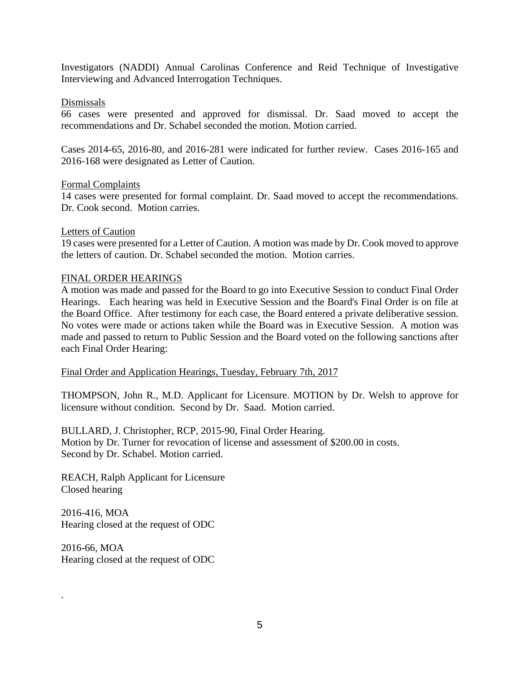Investigators (NADDI) Annual Carolinas Conference and Reid Technique of Investigative Interviewing and Advanced Interrogation Techniques.

### Dismissals

66 cases were presented and approved for dismissal. Dr. Saad moved to accept the recommendations and Dr. Schabel seconded the motion. Motion carried.

Cases 2014-65, 2016-80, and 2016-281 were indicated for further review. Cases 2016-165 and 2016-168 were designated as Letter of Caution.

### Formal Complaints

14 cases were presented for formal complaint. Dr. Saad moved to accept the recommendations. Dr. Cook second. Motion carries.

### Letters of Caution

19 cases were presented for a Letter of Caution. A motion was made by Dr. Cook moved to approve the letters of caution. Dr. Schabel seconded the motion. Motion carries.

### FINAL ORDER HEARINGS

A motion was made and passed for the Board to go into Executive Session to conduct Final Order Hearings. Each hearing was held in Executive Session and the Board's Final Order is on file at the Board Office. After testimony for each case, the Board entered a private deliberative session. No votes were made or actions taken while the Board was in Executive Session. A motion was made and passed to return to Public Session and the Board voted on the following sanctions after each Final Order Hearing:

Final Order and Application Hearings, Tuesday, February 7th, 2017

THOMPSON, John R., M.D. Applicant for Licensure. MOTION by Dr. Welsh to approve for licensure without condition. Second by Dr. Saad. Motion carried.

BULLARD, J. Christopher, RCP, 2015-90, Final Order Hearing. Motion by Dr. Turner for revocation of license and assessment of \$200.00 in costs. Second by Dr. Schabel. Motion carried.

REACH, Ralph Applicant for Licensure Closed hearing

2016-416, MOA Hearing closed at the request of ODC

2016-66, MOA Hearing closed at the request of ODC

.